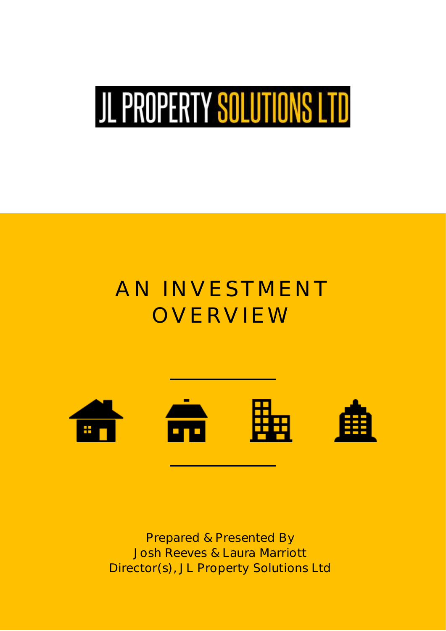# JL PROPERTY SOLUTIONS LTD

# AN INVESTMENT<br>OVERVIEW OVERSION IN 1999.<br>OVERSION



Prepared & Presented By<br>Josh Reeves & Laura Marriott in<br>Carlo Harriotti Colutions  $D_{\text{max}}(s)$ ,  $D_{\text{max}}(s)$  solutions Ltd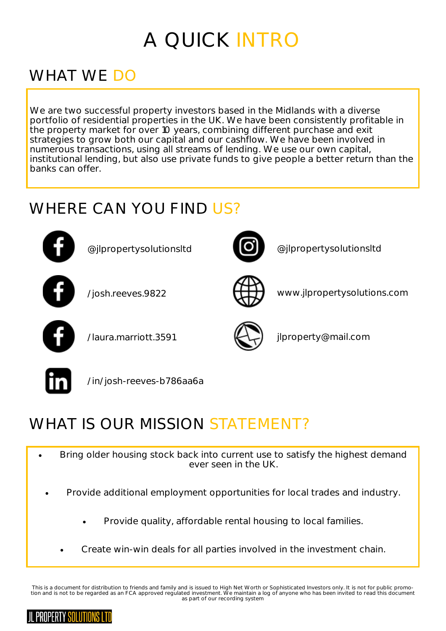### A OUICK INTRC A QUICK INTRO

#### **WHAT WE DO** WHAT WE DO NOT THE TANK OF THE TANK OF THE TANK OF THE TANK OF THE TANK OF THE TANK OF THE TANK OF THE TANK OF

We are two successful property investors based in the Midlands with a diverse portfolio of residential properties in the UK. We have been consistently profitable in the property market for over 10 years, combining different purchase and exit strategies to grow both our capital and our cashflow. We have been involved in numerous transactions, using all streams of lending. We use our own capital, institutional lending, but also use private funds to give people a better return than the banks can offer.

#### WHERE CAN YOU FIND US? WHERE CAN YOU FIND US?



@jlpropertysolutionsltd @jlpropertysolutionsltd





 $\sqrt{2}$ 







 $\frac{1}{2}$ 

#### WHAT IS OUR MISSION STATEMENT? WHAT IS OUR MISSION STATEMENT OF THE MISSION STATEMENT OF THE MISSION STATEMENT OF THE MISSION STATEMENT OF THE MISSION STATEMENT OF THE MISSION STATEMENT OF THE MISSION STATEMENT OF THE MISSION STATEMENT OF THE MISSION ST

- Bring older housing stock back into current use to satisfy the highest demand<br>ever seen in the UK ever seen in the UK.
- Provide additional employment opportunities for local trades and industry.
	- Provide quality, affordable rental housing to local families.
	- Create win-win deals for all parties involved in the investment chain.

This is a document for distribution to friends and family and is issued to High Net Worth or Sophisticated Investors only. It is not for public promotion and is not to be regarded as an FCA approved regulated investment. We maintain a log of anyone who has been invited to read this document<br>as part of our recording system as part of our recording system

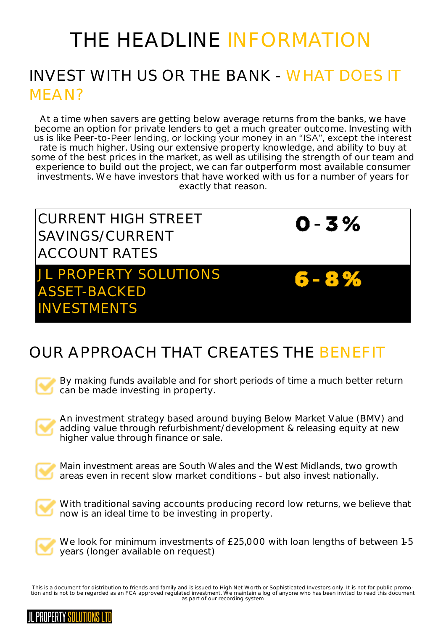## THE HEADI INF INFORMATION INVEST WITH US OR THE BANK - WHAT DOES IT  $I = \Lambda I$

At a time when savers are getting below average returns from the banks, we have<br>become an option for private lenders to get a much greater outcome. Investing with us is like Peer-to-Peer lending, or locking your money in an "ISA", except the interest rate is much higher. Using our extensive property knowledge, and ability to buy at some of the best prices in the market, as well as utilising the strength of our team and experience to build out the project, we can far outperform most available consumer investments. We have investors that have worked with us for a number of years for exactly that reason. exactly that reason.

CURRENT HIGH STREET SAVINGS/CURRENT **ACCOUNT RATES** 

PROPERTY SOLUTIONS ASSET-BACKED INIVESTMENTS INVESTMENTS

 $0 - 3 %$ 

 $6 - 8 %$ 

#### OUR APPROACH THAT CREATES THE BENEEIT OUR APPROACH THAT CREATES THE BENEFIT



By making funds available and for short periods of time a much better return can be made investing in property. can be made in property.



An investment strategy based around buying Below Market Value (BMV) and adding value through refurbishment/development & releasing equity at new adding value through finance or sale higher value through finance or sale.



Main investment areas are South Wales and the West Midlands, two growth areas even in recent slow market conditions - but also invest nationally. areas even in recent slow market conditions - but also invest nationally.



With traditional saving accounts producing record low returns, we believe that now is an ideal time to be investing in property. now is an ideal time to be investing in property.



wears (longer available on request) years (longer available on request)

This is a document for distribution to friends and family and is issued to High Net Worth or Sophisticated Investors only. It is not for public promotion and is not to be regarded as an FCA approved regulated investment. We maintain a log of anyone who has been invited to read this document<br>as part of our recording system as part of our recording system

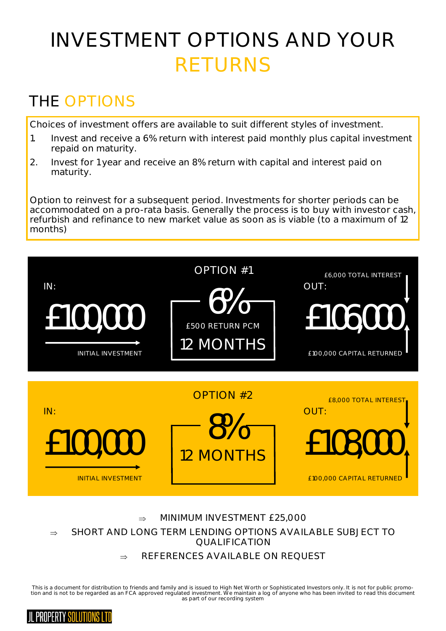## **INVESTMENT OPTIONS AND YOUR** RETURNS

### THE OPTIONS

Choices of investment offers are available to suit different styles of investment.

- 1. Invest and receive a 6% return with interest paid monthly plus capital investment repaid on maturity.
- repaid on maturity. 2. Investment in the 1 year and receiver and receiver and interest paid on 8% return with capital and interest paid on 8% return with capital and interest paid on 8% return with capital and interest paid on 8% return with maturity.

Option to reinvest for a subsequent period. Investments for shorter periods can be<br>accommodated on a pro-rata basis. Generally the process is to buy with investor cash, refurbish and refinance to new market value as soon as is viable (to a maximum of 12 refund to new market value as soon as soon as soon as is viable (to a maximum of 122  $\mu$  market value as  $\mu$ months)



⇒ SHORT AND LONG TERM LENDING OPTIONS AVAILABLE SUBJECT TO<br>OUALIFICATION

#### SO AMARILA DI FOOM  $\Rightarrow$  REFERENCES AVAILABLE ON REQUEST

tion and is not to be regarded as an FCA approved regulated investment. We maintain a log of anyone who has been invited to read this document<br>as part of our recording system as part of our recording system

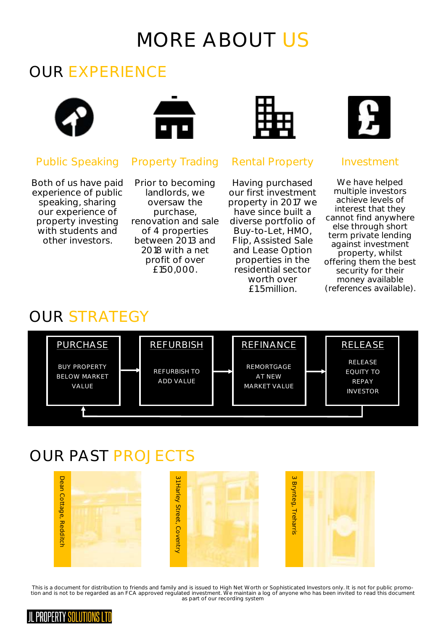### MORF ABOUT US MORE ABOUT USE OF THE SERVICE.

## OUR EXPERIENCE



Both of us have paid speaking, sharing our experience of property investing with students and other investors



Prior to becoming<br>landlords, we oversaw the purchase. renovation and sale of 4 properties between 2013 and 2018 with a net profit of over £150,000. £150,000.



## Public Speaking Property Trading Rental Property Investment

Having purchased<br>our first investment property in 2017 we have since built a diverse portfolio of Buy-to-Let, HMO, Flip, Assisted Sale and Lease Option properties in the residential sector worth over f1.5million.



We have helped<br>multiple investors achieve levels of interest that they cannot find anywhere else through short term private lending against investment property, whilst offering them the best security for their money available (references available).

(references available).



### OUR PAST PROJECTS



tion and is not to be regarded as an FCA approved regulated investment. We maintain a log of anyone who has been invited to read this document<br>as part of our recording system as part of our recording system

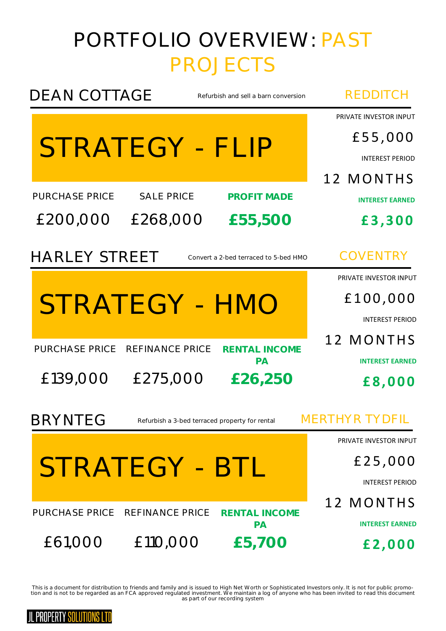# PORTFOLIO OVERVIEW: PAST

| <b>DEAN COTTAGE</b><br>Refurbish and sell a barn conversion      | <b>REDDITCH</b>                                                          |
|------------------------------------------------------------------|--------------------------------------------------------------------------|
| STRATEGY - FLIP                                                  | PRIVATE INVESTOR INPUT<br>£55,000<br><b>INTEREST PERIOD</b><br>12 MONTHS |
| <b>PURCHASE PRICE</b><br><b>SALE PRICE</b><br><b>PROFIT MADE</b> | <b>INTEREST EARNED</b>                                                   |
| £200,000<br>£268,000<br>£55,500                                  | £3,300                                                                   |
| <b>HARLEY STREET</b><br>Convert a 2-bed terraced to 5-bed HMO    | <b>COVENTRY</b>                                                          |
|                                                                  | PRIVATE INVESTOR INPUT                                                   |
| STRATEGY - HMO                                                   | £100,000                                                                 |
|                                                                  | <b>INTEREST PERIOD</b>                                                   |
| <b>PURCHASE PRICE</b><br>REFINANCE PRICE<br><b>RENTAL INCOME</b> | 12 MONTHS                                                                |
| PA<br>£139,000<br>£275,000<br>£26,250                            | <b>INTEREST EARNED</b><br>£8,000                                         |
| <b>BRYNTEG</b><br>Refurbish a 3-bed terraced property for rental | MERTHYR TYDFIL                                                           |
|                                                                  | PRIVATE INVESTOR INPUT                                                   |
| STRATEGY - BTL                                                   | £25,000                                                                  |
|                                                                  | <b>INTEREST PERIOD</b>                                                   |
| REFINANCE PRICE<br>PURCHASE PRICE<br><b>RENTAL INCOME</b>        | 12 MONTHS                                                                |
| <b>PA</b><br>£61,000<br>£110,000<br>£5,700                       | <b>INTEREST EARNED</b><br>£2,000                                         |
|                                                                  |                                                                          |

tion and is not to be regarded as an FCA approved regulated investment. We maintain a log of anyone who has been invited to read this document<br>as part of our recording system as part of our recording system